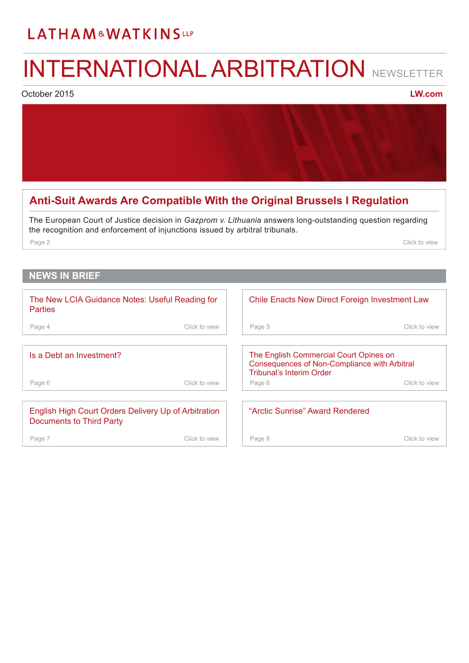# <span id="page-0-0"></span>LATHAM&WATKINSLLP

# INTERNATIONAL ARBITRATION NEWSLETTER

October 2015

**[LW.com](http://www.lw.com)**

### **[Anti-Suit Awards Are Compatible With the Original Brussels I Regulation](#page-1-0)**

The European Court of Justice decision in *Gazprom v. Lithuania* answers long-outstanding question regarding the recognition and enforcement of injunctions issued by arbitral tribunals.

Page 2 Click to view the contract of the contract of the contract of the contract of the contract of the contract of the contract of the contract of the contract of the contract of the contract of the contract of the contr

### **NEWS IN BRIEF**

| The New LCIA Guidance Notes: Useful Reading for<br><b>Parties</b>                       |               | Chile Enacts New Direct Foreign Investment Law                                                                                   |               |
|-----------------------------------------------------------------------------------------|---------------|----------------------------------------------------------------------------------------------------------------------------------|---------------|
| Page 4                                                                                  | Click to view | Page 5                                                                                                                           | Click to view |
|                                                                                         |               |                                                                                                                                  |               |
| Is a Debt an Investment?                                                                |               | The English Commercial Court Opines on<br><b>Consequences of Non-Compliance with Arbitral</b><br><b>Tribunal's Interim Order</b> |               |
| Page 6                                                                                  | Click to view | Page 6                                                                                                                           | Click to view |
|                                                                                         |               |                                                                                                                                  |               |
| English High Court Orders Delivery Up of Arbitration<br><b>Documents to Third Party</b> |               | "Arctic Sunrise" Award Rendered                                                                                                  |               |
| Page 7                                                                                  | Click to view | Page 8                                                                                                                           | Click to view |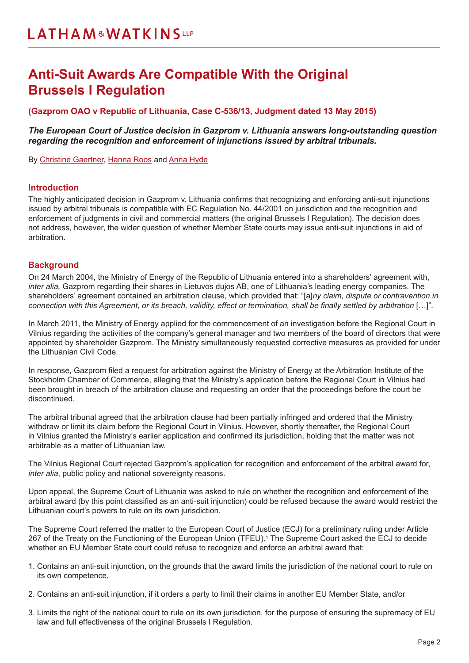# <span id="page-1-0"></span>**Anti-Suit Awards Are Compatible With the Original Brussels I Regulation**

**(Gazprom OAO v Republic of Lithuania, Case C-536/13, Judgment dated 13 May 2015)**

*The European Court of Justice decision in Gazprom v. Lithuania answers long-outstanding question regarding the recognition and enforcement of injunctions issued by arbitral tribunals.*

By [Christine Gaertner,](https://www.lw.com/people/christine-gaertner) [Hanna Roos](https://www.lw.com/people/hanna-roos) and [Anna Hyde](https://www.lw.com/people/anna-hyde)

#### **Introduction**

The highly anticipated decision in Gazprom v. Lithuania confirms that recognizing and enforcing anti-suit injunctions issued by arbitral tribunals is compatible with EC Regulation No. 44/2001 on jurisdiction and the recognition and enforcement of judgments in civil and commercial matters (the original Brussels I Regulation). The decision does not address, however, the wider question of whether Member State courts may issue anti-suit injunctions in aid of arbitration.

#### **Background**

On 24 March 2004, the Ministry of Energy of the Republic of Lithuania entered into a shareholders' agreement with, *inter alia,* Gazprom regarding their shares in Lietuvos dujos AB, one of Lithuania's leading energy companies. The shareholders' agreement contained an arbitration clause, which provided that: "[a]*ny claim, dispute or contravention in connection with this Agreement, or its breach, validity, effect or termination, shall be finally settled by arbitration* […]".

In March 2011, the Ministry of Energy applied for the commencement of an investigation before the Regional Court in Vilnius regarding the activities of the company's general manager and two members of the board of directors that were appointed by shareholder Gazprom. The Ministry simultaneously requested corrective measures as provided for under the Lithuanian Civil Code.

In response, Gazprom filed a request for arbitration against the Ministry of Energy at the Arbitration Institute of the Stockholm Chamber of Commerce, alleging that the Ministry's application before the Regional Court in Vilnius had been brought in breach of the arbitration clause and requesting an order that the proceedings before the court be discontinued.

The arbitral tribunal agreed that the arbitration clause had been partially infringed and ordered that the Ministry withdraw or limit its claim before the Regional Court in Vilnius. However, shortly thereafter, the Regional Court in Vilnius granted the Ministry's earlier application and confirmed its jurisdiction, holding that the matter was not arbitrable as a matter of Lithuanian law.

The Vilnius Regional Court rejected Gazprom's application for recognition and enforcement of the arbitral award for, *inter alia*, public policy and national sovereignty reasons.

Upon appeal, the Supreme Court of Lithuania was asked to rule on whether the recognition and enforcement of the arbitral award (by this point classified as an anti-suit injunction) could be refused because the award would restrict the Lithuanian court's powers to rule on its own jurisdiction.

The Supreme Court referred the matter to the European Court of Justice (ECJ) for a preliminary ruling under Article 267 of the Treaty on the Functioning of the European Union (TFEU).1 The Supreme Court asked the ECJ to decide whether an EU Member State court could refuse to recognize and enforce an arbitral award that:

- 1. Contains an anti-suit injunction, on the grounds that the award limits the jurisdiction of the national court to rule on its own competence,
- 2. Contains an anti-suit injunction, if it orders a party to limit their claims in another EU Member State, and/or
- 3. Limits the right of the national court to rule on its own jurisdiction, for the purpose of ensuring the supremacy of EU law and full effectiveness of the original Brussels I Regulation.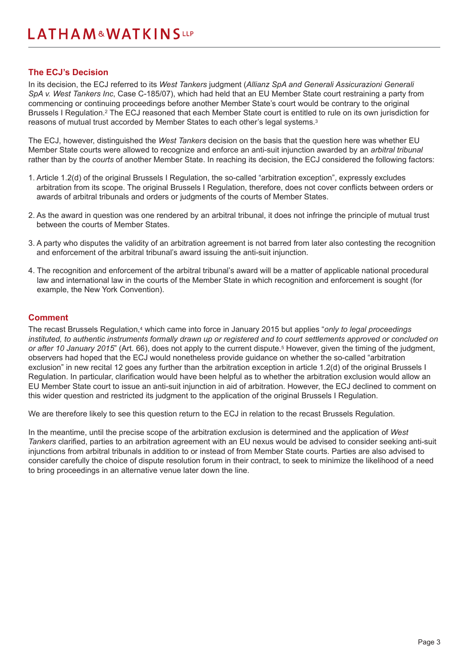#### **The ECJ's Decision**

In its decision, the ECJ referred to its *West Tankers* judgment (*Allianz SpA and Generali Assicurazioni Generali SpA v. West Tankers Inc*, Case C-185/07), which had held that an EU Member State court restraining a party from commencing or continuing proceedings before another Member State's court would be contrary to the original Brussels I Regulation.2 The ECJ reasoned that each Member State court is entitled to rule on its own jurisdiction for reasons of mutual trust accorded by Member States to each other's legal systems.3

The ECJ, however, distinguished the *West Tankers* decision on the basis that the question here was whether EU Member State courts were allowed to recognize and enforce an anti-suit injunction awarded by an *arbitral tribunal* rather than by the *courts* of another Member State. In reaching its decision, the ECJ considered the following factors:

- 1. Article 1.2(d) of the original Brussels I Regulation, the so-called "arbitration exception", expressly excludes arbitration from its scope. The original Brussels I Regulation, therefore, does not cover conflicts between orders or awards of arbitral tribunals and orders or judgments of the courts of Member States.
- 2. As the award in question was one rendered by an arbitral tribunal, it does not infringe the principle of mutual trust between the courts of Member States.
- 3. A party who disputes the validity of an arbitration agreement is not barred from later also contesting the recognition and enforcement of the arbitral tribunal's award issuing the anti-suit injunction.
- 4. The recognition and enforcement of the arbitral tribunal's award will be a matter of applicable national procedural law and international law in the courts of the Member State in which recognition and enforcement is sought (for example, the New York Convention).

#### **Comment**

The recast Brussels Regulation,4 which came into force in January 2015 but applies "*only to legal proceedings instituted, to authentic instruments formally drawn up or registered and to court settlements approved or concluded on or after 10 January 2015*" (Art. 66), does not apply to the current dispute.5 However, given the timing of the judgment, observers had hoped that the ECJ would nonetheless provide guidance on whether the so-called "arbitration exclusion" in new recital 12 goes any further than the arbitration exception in article 1.2(d) of the original Brussels I Regulation. In particular, clarification would have been helpful as to whether the arbitration exclusion would allow an EU Member State court to issue an anti-suit injunction in aid of arbitration. However, the ECJ declined to comment on this wider question and restricted its judgment to the application of the original Brussels I Regulation.

We are therefore likely to see this question return to the ECJ in relation to the recast Brussels Regulation.

In the meantime, until the precise scope of the arbitration exclusion is determined and the application of *West Tankers* clarified, parties to an arbitration agreement with an EU nexus would be advised to consider seeking anti-suit injunctions from arbitral tribunals in addition to or instead of from Member State courts. Parties are also advised to consider carefully the choice of dispute resolution forum in their contract, to seek to minimize the likelihood of a need to bring proceedings in an alternative venue later down the line.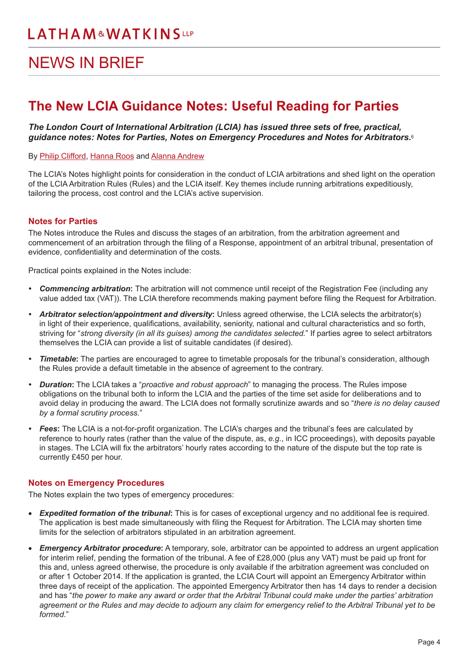# <span id="page-3-0"></span>NEWS IN BRIEF

## **The New LCIA Guidance Notes: Useful Reading for Parties**

### *The London Court of International Arbitration (LCIA) has issued three sets of free, practical, guidance notes: Notes for Parties, Notes on Emergency Procedures and Notes for Arbitrators.*<sup>6</sup>

#### By [Philip Clifford](https://www.lw.com/people/philip-clifford), [Hanna Roos](https://www.lw.com/people/hanna-roos) and [Alanna Andrew](https://www.lw.com/people/alanna-andrew)

The LCIA's Notes highlight points for consideration in the conduct of LCIA arbitrations and shed light on the operation of the LCIA Arbitration Rules (Rules) and the LCIA itself. Key themes include running arbitrations expeditiously, tailoring the process, cost control and the LCIA's active supervision.

### **Notes for Parties**

The Notes introduce the Rules and discuss the stages of an arbitration, from the arbitration agreement and commencement of an arbitration through the filing of a Response, appointment of an arbitral tribunal, presentation of evidence, confidentiality and determination of the costs.

Practical points explained in the Notes include:

- *• Commencing arbitration***:** The arbitration will not commence until receipt of the Registration Fee (including any value added tax (VAT)). The LCIA therefore recommends making payment before filing the Request for Arbitration.
- *• Arbitrator selection/appointment and diversity***:** Unless agreed otherwise, the LCIA selects the arbitrator(s) in light of their experience, qualifications, availability, seniority, national and cultural characteristics and so forth, striving for "*strong diversity (in all its guises) among the candidates selected.*" If parties agree to select arbitrators themselves the LCIA can provide a list of suitable candidates (if desired).
- *• Timetable***:** The parties are encouraged to agree to timetable proposals for the tribunal's consideration, although the Rules provide a default timetable in the absence of agreement to the contrary.
- *• Duration***:** The LCIA takes a "*proactive and robust approach*" to managing the process. The Rules impose obligations on the tribunal both to inform the LCIA and the parties of the time set aside for deliberations and to avoid delay in producing the award. The LCIA does not formally scrutinize awards and so "*there is no delay caused by a formal scrutiny process.*"
- *• Fees***:** The LCIA is a not-for-profit organization. The LCIA's charges and the tribunal's fees are calculated by reference to hourly rates (rather than the value of the dispute, as, *e.g.*, in ICC proceedings), with deposits payable in stages. The LCIA will fix the arbitrators' hourly rates according to the nature of the dispute but the top rate is currently £450 per hour.

### **Notes on Emergency Procedures**

The Notes explain the two types of emergency procedures:

- • *Expedited formation of the tribunal***:** This is for cases of exceptional urgency and no additional fee is required. The application is best made simultaneously with filing the Request for Arbitration. The LCIA may shorten time limits for the selection of arbitrators stipulated in an arbitration agreement.
- • *Emergency Arbitrator procedure***:** A temporary, sole, arbitrator can be appointed to address an urgent application for interim relief, pending the formation of the tribunal. A fee of £28,000 (plus any VAT) must be paid up front for this and, unless agreed otherwise, the procedure is only available if the arbitration agreement was concluded on or after 1 October 2014. If the application is granted, the LCIA Court will appoint an Emergency Arbitrator within three days of receipt of the application. The appointed Emergency Arbitrator then has 14 days to render a decision and has "*the power to make any award or order that the Arbitral Tribunal could make under the parties' arbitration agreement or the Rules and may decide to adjourn any claim for emergency relief to the Arbitral Tribunal yet to be formed.*"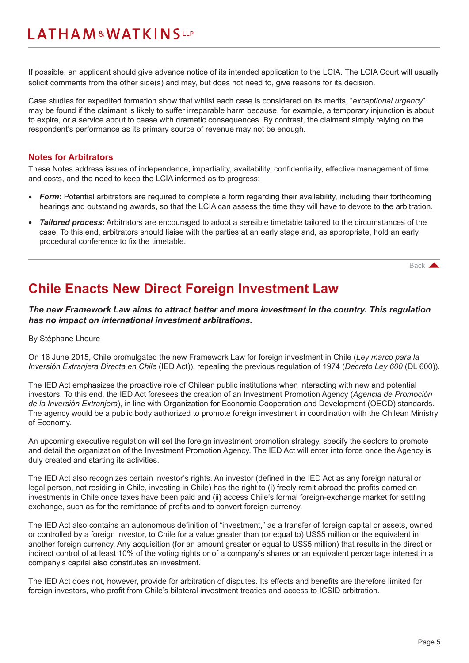<span id="page-4-0"></span>If possible, an applicant should give advance notice of its intended application to the LCIA. The LCIA Court will usually solicit comments from the other side(s) and may, but does not need to, give reasons for its decision.

Case studies for expedited formation show that whilst each case is considered on its merits, "*exceptional urgency*" may be found if the claimant is likely to suffer irreparable harm because, for example, a temporary injunction is about to expire, or a service about to cease with dramatic consequences. By contrast, the claimant simply relying on the respondent's performance as its primary source of revenue may not be enough.

#### **Notes for Arbitrators**

These Notes address issues of independence, impartiality, availability, confidentiality, effective management of time and costs, and the need to keep the LCIA informed as to progress:

- **Form:** Potential arbitrators are required to complete a form regarding their availability, including their forthcoming hearings and outstanding awards, so that the LCIA can assess the time they will have to devote to the arbitration.
- *Tailored process:* Arbitrators are encouraged to adopt a sensible timetable tailored to the circumstances of the case. To this end, arbitrators should liaise with the parties at an early stage and, as appropriate, hold an early procedural conference to fix the timetable.

[Back](#page-0-0) A

## **Chile Enacts New Direct Foreign Investment Law**

*The new Framework Law aims to attract better and more investment in the country. This regulation has no impact on international investment arbitrations.*

#### By Stéphane Lheure

On 16 June 2015, Chile promulgated the new Framework Law for foreign investment in Chile (*Ley marco para la Inversión Extranjera Directa en Chile* (IED Act)), repealing the previous regulation of 1974 (*Decreto Ley 600* (DL 600)).

The IED Act emphasizes the proactive role of Chilean public institutions when interacting with new and potential investors. To this end, the IED Act foresees the creation of an Investment Promotion Agency (*Agencia de Promoción de la Inversión Extranjera*), in line with Organization for Economic Cooperation and Development (OECD) standards. The agency would be a public body authorized to promote foreign investment in coordination with the Chilean Ministry of Economy.

An upcoming executive regulation will set the foreign investment promotion strategy, specify the sectors to promote and detail the organization of the Investment Promotion Agency. The IED Act will enter into force once the Agency is duly created and starting its activities.

The IED Act also recognizes certain investor's rights. An investor (defined in the IED Act as any foreign natural or legal person, not residing in Chile, investing in Chile) has the right to (i) freely remit abroad the profits earned on investments in Chile once taxes have been paid and (ii) access Chile's formal foreign-exchange market for settling exchange, such as for the remittance of profits and to convert foreign currency.

The IED Act also contains an autonomous definition of "investment," as a transfer of foreign capital or assets, owned or controlled by a foreign investor, to Chile for a value greater than (or equal to) US\$5 million or the equivalent in another foreign currency. Any acquisition (for an amount greater or equal to US\$5 million) that results in the direct or indirect control of at least 10% of the voting rights or of a company's shares or an equivalent percentage interest in a company's capital also constitutes an investment.

The IED Act does not, however, provide for arbitration of disputes. Its effects and benefits are therefore limited for foreign investors, who profit from Chile's bilateral investment treaties and access to ICSID arbitration.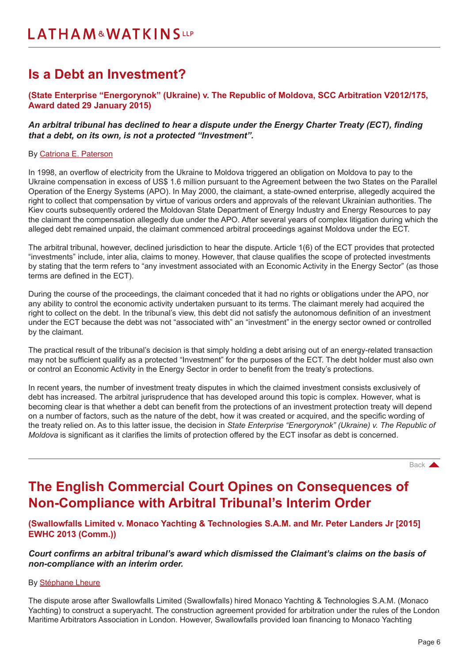## <span id="page-5-0"></span>**Is a Debt an Investment?**

### **(State Enterprise "Energorynok" (Ukraine) v. The Republic of Moldova, SCC Arbitration V2012/175, Award dated 29 January 2015)**

#### *An arbitral tribunal has declined to hear a dispute under the Energy Charter Treaty (ECT), finding that a debt, on its own, is not a protected "Investment".*

#### By [Catriona E. Paterson](https://www.lw.com/people/catriona-paterson)

In 1998, an overflow of electricity from the Ukraine to Moldova triggered an obligation on Moldova to pay to the Ukraine compensation in excess of US\$ 1.6 million pursuant to the Agreement between the two States on the Parallel Operation of the Energy Systems (APO). In May 2000, the claimant, a state-owned enterprise, allegedly acquired the right to collect that compensation by virtue of various orders and approvals of the relevant Ukrainian authorities. The Kiev courts subsequently ordered the Moldovan State Department of Energy Industry and Energy Resources to pay the claimant the compensation allegedly due under the APO. After several years of complex litigation during which the alleged debt remained unpaid, the claimant commenced arbitral proceedings against Moldova under the ECT.

The arbitral tribunal, however, declined jurisdiction to hear the dispute. Article 1(6) of the ECT provides that protected "investments" include, inter alia, claims to money. However, that clause qualifies the scope of protected investments by stating that the term refers to "any investment associated with an Economic Activity in the Energy Sector" (as those terms are defined in the ECT).

During the course of the proceedings, the claimant conceded that it had no rights or obligations under the APO, nor any ability to control the economic activity undertaken pursuant to its terms. The claimant merely had acquired the right to collect on the debt. In the tribunal's view, this debt did not satisfy the autonomous definition of an investment under the ECT because the debt was not "associated with" an "investment" in the energy sector owned or controlled by the claimant.

The practical result of the tribunal's decision is that simply holding a debt arising out of an energy-related transaction may not be sufficient qualify as a protected "Investment" for the purposes of the ECT. The debt holder must also own or control an Economic Activity in the Energy Sector in order to benefit from the treaty's protections.

In recent years, the number of investment treaty disputes in which the claimed investment consists exclusively of debt has increased. The arbitral jurisprudence that has developed around this topic is complex. However, what is becoming clear is that whether a debt can benefit from the protections of an investment protection treaty will depend on a number of factors, such as the nature of the debt, how it was created or acquired, and the specific wording of the treaty relied on. As to this latter issue, the decision in *State Enterprise "Energorynok" (Ukraine) v. The Republic of Moldova* is significant as it clarifies the limits of protection offered by the ECT insofar as debt is concerned.

[Back](#page-0-0) **A** 

### **The English Commercial Court Opines on Consequences of Non-Compliance with Arbitral Tribunal's Interim Order**

**(Swallowfalls Limited v. Monaco Yachting & Technologies S.A.M. and Mr. Peter Landers Jr [2015] EWHC 2013 (Comm.))**

*Court confirms an arbitral tribunal's award which dismissed the Claimant's claims on the basis of non-compliance with an interim order.* 

#### By [Stéphane Lheure](https://www.lw.com/people/stephane-lheure)

The dispute arose after Swallowfalls Limited (Swallowfalls) hired Monaco Yachting & Technologies S.A.M. (Monaco Yachting) to construct a superyacht. The construction agreement provided for arbitration under the rules of the London Maritime Arbitrators Association in London. However, Swallowfalls provided loan financing to Monaco Yachting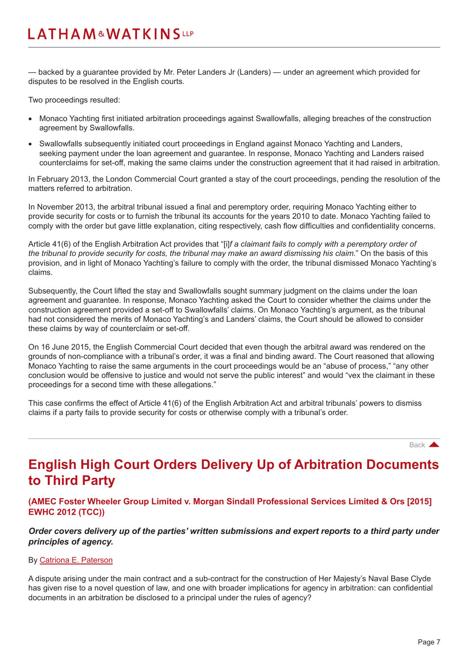<span id="page-6-0"></span>— backed by a guarantee provided by Mr. Peter Landers Jr (Landers) — under an agreement which provided for disputes to be resolved in the English courts.

Two proceedings resulted:

- • Monaco Yachting first initiated arbitration proceedings against Swallowfalls, alleging breaches of the construction agreement by Swallowfalls.
- Swallowfalls subsequently initiated court proceedings in England against Monaco Yachting and Landers, seeking payment under the loan agreement and guarantee. In response, Monaco Yachting and Landers raised counterclaims for set-off, making the same claims under the construction agreement that it had raised in arbitration.

In February 2013, the London Commercial Court granted a stay of the court proceedings, pending the resolution of the matters referred to arbitration.

In November 2013, the arbitral tribunal issued a final and peremptory order, requiring Monaco Yachting either to provide security for costs or to furnish the tribunal its accounts for the years 2010 to date. Monaco Yachting failed to comply with the order but gave little explanation, citing respectively, cash flow difficulties and confidentiality concerns.

Article 41(6) of the English Arbitration Act provides that "[i]*f a claimant fails to comply with a peremptory order of the tribunal to provide security for costs, the tribunal may make an award dismissing his claim.*" On the basis of this provision, and in light of Monaco Yachting's failure to comply with the order, the tribunal dismissed Monaco Yachting's claims.

Subsequently, the Court lifted the stay and Swallowfalls sought summary judgment on the claims under the loan agreement and guarantee. In response, Monaco Yachting asked the Court to consider whether the claims under the construction agreement provided a set-off to Swallowfalls' claims. On Monaco Yachting's argument, as the tribunal had not considered the merits of Monaco Yachting's and Landers' claims, the Court should be allowed to consider these claims by way of counterclaim or set-off.

On 16 June 2015, the English Commercial Court decided that even though the arbitral award was rendered on the grounds of non-compliance with a tribunal's order, it was a final and binding award. The Court reasoned that allowing Monaco Yachting to raise the same arguments in the court proceedings would be an "abuse of process," "any other conclusion would be offensive to justice and would not serve the public interest" and would "vex the claimant in these proceedings for a second time with these allegations."

This case confirms the effect of Article 41(6) of the English Arbitration Act and arbitral tribunals' powers to dismiss claims if a party fails to provide security for costs or otherwise comply with a tribunal's order.

[Back](#page-0-0) **A** 

## **English High Court Orders Delivery Up of Arbitration Documents to Third Party**

**(AMEC Foster Wheeler Group Limited v. Morgan Sindall Professional Services Limited & Ors [2015] EWHC 2012 (TCC))**

*Order covers delivery up of the parties' written submissions and expert reports to a third party under principles of agency.* 

#### By [Catriona E. Paterson](https://www.lw.com/people/catriona-paterson)

A dispute arising under the main contract and a sub-contract for the construction of Her Majesty's Naval Base Clyde has given rise to a novel question of law, and one with broader implications for agency in arbitration: can confidential documents in an arbitration be disclosed to a principal under the rules of agency?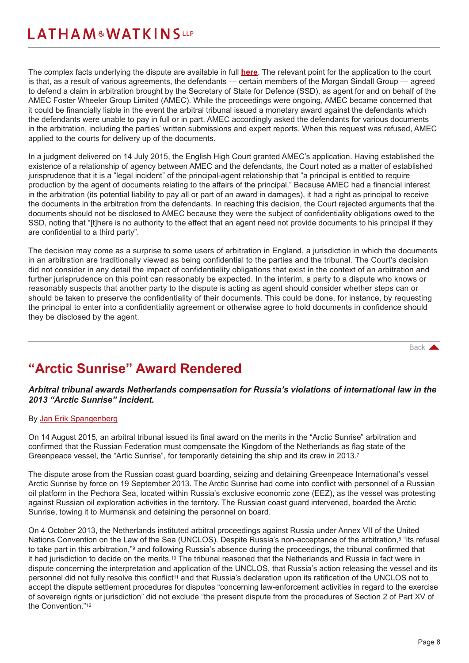<span id="page-7-0"></span>The complex facts underlying the dispute are available in full **[here](http://www.bailii.org/ew/cases/EWHC/TCC/2015/2012.html)**. The relevant point for the application to the court is that, as a result of various agreements, the defendants — certain members of the Morgan Sindall Group — agreed to defend a claim in arbitration brought by the Secretary of State for Defence (SSD), as agent for and on behalf of the AMEC Foster Wheeler Group Limited (AMEC). While the proceedings were ongoing, AMEC became concerned that it could be financially liable in the event the arbitral tribunal issued a monetary award against the defendants which the defendants were unable to pay in full or in part. AMEC accordingly asked the defendants for various documents in the arbitration, including the parties' written submissions and expert reports. When this request was refused, AMEC applied to the courts for delivery up of the documents.

In a judgment delivered on 14 July 2015, the English High Court granted AMEC's application. Having established the existence of a relationship of agency between AMEC and the defendants, the Court noted as a matter of established jurisprudence that it is a "legal incident" of the principal-agent relationship that "a principal is entitled to require production by the agent of documents relating to the affairs of the principal." Because AMEC had a financial interest in the arbitration (its potential liability to pay all or part of an award in damages), it had a right as principal to receive the documents in the arbitration from the defendants. In reaching this decision, the Court rejected arguments that the documents should not be disclosed to AMEC because they were the subject of confidentiality obligations owed to the SSD, noting that "[t]here is no authority to the effect that an agent need not provide documents to his principal if they are confidential to a third party".

The decision may come as a surprise to some users of arbitration in England, a jurisdiction in which the documents in an arbitration are traditionally viewed as being confidential to the parties and the tribunal. The Court's decision did not consider in any detail the impact of confidentiality obligations that exist in the context of an arbitration and further jurisprudence on this point can reasonably be expected. In the interim, a party to a dispute who knows or reasonably suspects that another party to the dispute is acting as agent should consider whether steps can or should be taken to preserve the confidentiality of their documents. This could be done, for instance, by requesting the principal to enter into a confidentiality agreement or otherwise agree to hold documents in confidence should they be disclosed by the agent.

[Back](#page-0-0) **A** 

# **"Arctic Sunrise" Award Rendered**

### *Arbitral tribunal awards Netherlands compensation for Russia's violations of international law in the 2013 "Arctic Sunrise" incident.*

#### By [Jan Erik Spangenberg](https://www.lw.com/people/jan-spangenberg)

On 14 August 2015, an arbitral tribunal issued its final award on the merits in the "Arctic Sunrise" arbitration and confirmed that the Russian Federation must compensate the Kingdom of the Netherlands as flag state of the Greenpeace vessel, the "Artic Sunrise", for temporarily detaining the ship and its crew in 2013.<sup>7</sup>

The dispute arose from the Russian coast guard boarding, seizing and detaining Greenpeace International's vessel Arctic Sunrise by force on 19 September 2013. The Arctic Sunrise had come into conflict with personnel of a Russian oil platform in the Pechora Sea, located within Russia's exclusive economic zone (EEZ), as the vessel was protesting against Russian oil exploration activities in the territory. The Russian coast guard intervened, boarded the Arctic Sunrise, towing it to Murmansk and detaining the personnel on board.

On 4 October 2013, the Netherlands instituted arbitral proceedings against Russia under Annex VII of the United Nations Convention on the Law of the Sea (UNCLOS). Despite Russia's non-acceptance of the arbitration,<sup>8</sup> "its refusal to take part in this arbitration,"<sup>9</sup> and following Russia's absence during the proceedings, the tribunal confirmed that it had jurisdiction to decide on the merits.10 The tribunal reasoned that the Netherlands and Russia in fact were in dispute concerning the interpretation and application of the UNCLOS, that Russia's action releasing the vessel and its personnel did not fully resolve this conflict<sup>11</sup> and that Russia's declaration upon its ratification of the UNCLOS not to accept the dispute settlement procedures for disputes "concerning law-enforcement activities in regard to the exercise of sovereign rights or jurisdiction" did not exclude "the present dispute from the procedures of Section 2 of Part XV of the Convention."12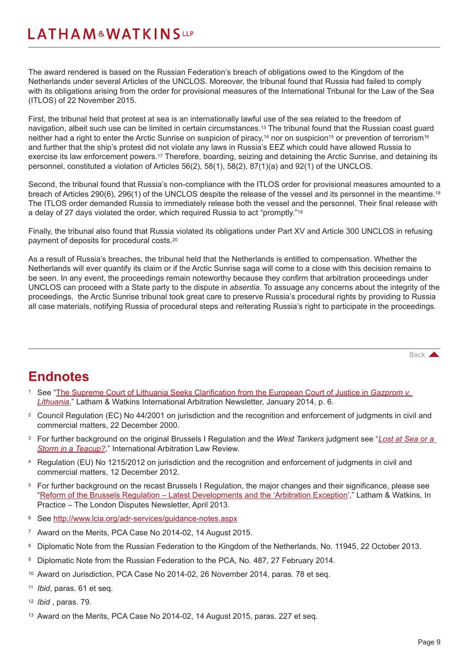The award rendered is based on the Russian Federation's breach of obligations owed to the Kingdom of the Netherlands under several Articles of the UNCLOS. Moreover, the tribunal found that Russia had failed to comply with its obligations arising from the order for provisional measures of the International Tribunal for the Law of the Sea (ITLOS) of 22 November 2015.

First, the tribunal held that protest at sea is an internationally lawful use of the sea related to the freedom of navigation, albeit such use can be limited in certain circumstances.13 The tribunal found that the Russian coast guard neither had a right to enter the Arctic Sunrise on suspicion of piracy,<sup>14</sup> nor on suspicion<sup>15</sup> or prevention of terrorism<sup>16</sup> and further that the ship's protest did not violate any laws in Russia's EEZ which could have allowed Russia to exercise its law enforcement powers.17 Therefore, boarding, seizing and detaining the Arctic Sunrise, and detaining its personnel, constituted a violation of Articles 56(2), 58(1), 58(2), 87(1)(a) and 92(1) of the UNCLOS.

Second, the tribunal found that Russia's non-compliance with the ITLOS order for provisional measures amounted to a breach of Articles 290(6), 296(1) of the UNCLOS despite the release of the vessel and its personnel in the meantime.18 The ITLOS order demanded Russia to immediately release both the vessel and the personnel. Their final release with a delay of 27 days violated the order, which required Russia to act "promptly."19

Finally, the tribunal also found that Russia violated its obligations under Part XV and Article 300 UNCLOS in refusing payment of deposits for procedural costs.20

As a result of Russia's breaches, the tribunal held that the Netherlands is entitled to compensation. Whether the Netherlands will ever quantify its claim or if the Arctic Sunrise saga will come to a close with this decision remains to be seen. In any event, the proceedings remain noteworthy because they confirm that arbitration proceedings under UNCLOS can proceed with a State party to the dispute in *absentia*. To assuage any concerns about the integrity of the proceedings, the Arctic Sunrise tribunal took great care to preserve Russia's procedural rights by providing to Russia all case materials, notifying Russia of procedural steps and reiterating Russia's right to participate in the proceedings.

[Back](#page-0-0)

### **Endnotes**

- <sup>1</sup> See "[The Supreme Court of Lithuania Seeks Clarification from the European Court of Justice in](https://www.lw.com/thoughtLeadership/lw-international-arbitration-newsletter-january-2014) *Gazprom v. [Lithuania](https://www.lw.com/thoughtLeadership/lw-international-arbitration-newsletter-january-2014)*," Latham & Watkins International Arbitration Newsletter, January 2014, p. 6.
- <sup>2</sup> Council Regulation (EC) No 44/2001 on jurisdiction and the recognition and enforcement of judgments in civil and commercial matters, 22 December 2000.
- <sup>3</sup> For further background on the original Brussels I Regulation and the *West Tankers* judgment see "*[Lost at Sea or a](http://www.lw.com/thoughtLeadership/anti-suit-injunctions-after-allianz-spa)  [Storm in a Teacup?](http://www.lw.com/thoughtLeadership/anti-suit-injunctions-after-allianz-spa)*," International Arbitration Law Review.
- <sup>4</sup> Regulation (EU) No 1215/2012 on jurisdiction and the recognition and enforcement of judgments in civil and commercial matters, 12 December 2012.
- <sup>5</sup> For further background on the recast Brussels I Regulation, the major changes and their significance, please see "Reform of the Brussels Regulation - Latest Developments and the 'Arbitration Exception'," Latham & Watkins, In Practice – The London Disputes Newsletter, April 2013.
- <sup>6</sup> See <http://www.lcia.org/adr-services/guidance-notes.aspx>
- <sup>7</sup> Award on the Merits, PCA Case No 2014-02, 14 August 2015.
- <sup>8</sup> Diplomatic Note from the Russian Federation to the Kingdom of the Netherlands, No. 11945, 22 October 2013.
- <sup>9</sup> Diplomatic Note from the Russian Federation to the PCA, No. 487, 27 February 2014.
- <sup>10</sup> Award on Jurisdiction, PCA Case No 2014-02, 26 November 2014, paras. 78 et seq.
- <sup>11</sup> *Ibid*, paras. 61 et seq.
- <sup>12</sup> *Ibid* , paras. 79.
- <sup>13</sup> Award on the Merits, PCA Case No 2014-02, 14 August 2015, paras. 227 et seq.